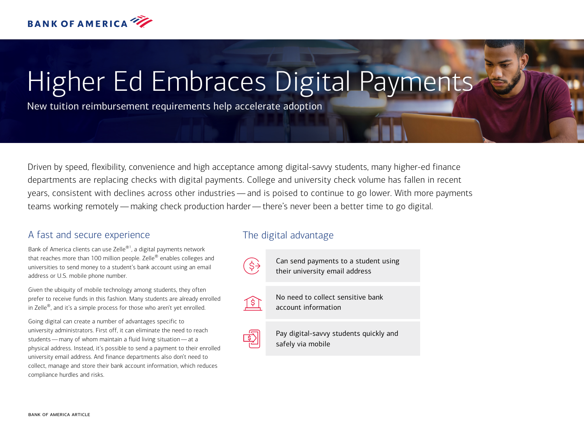

# Higher Ed Embraces Digital Payments

New tuition reimbursement requirements help accelerate adoption

Driven by speed, flexibility, convenience and high acceptance among digital-savvy students, many higher-ed finance departments are replacing checks with digital payments. College and university check volume has fallen in recent years, consistent with declines across other industries — and is poised to continue to go lower. With more payments teams working remotely — making check production harder — there's never been a better time to go digital.

## A fast and secure experience

Bank of America clients can use Zelle $^{\circledast !}$ , a digital payments network that reaches more than 100 million people. Zelle<sup>®</sup> enables colleges and universities to send money to a student's bank account using an email address or U.S. mobile phone number.

Given the ubiquity of mobile technology among students, they often prefer to receive funds in this fashion. Many students are already enrolled in Zelle<sup>®</sup>, and it's a simple process for those who aren't yet enrolled.

Going digital can create a number of advantages specific to university administrators. First off, it can eliminate the need to reach students — many of whom maintain a fluid living situation — at a physical address. Instead, it's possible to send a payment to their enrolled university email address. And finance departments also don't need to collect, manage and store their bank account information, which reduces compliance hurdles and risks.

## The digital advantage